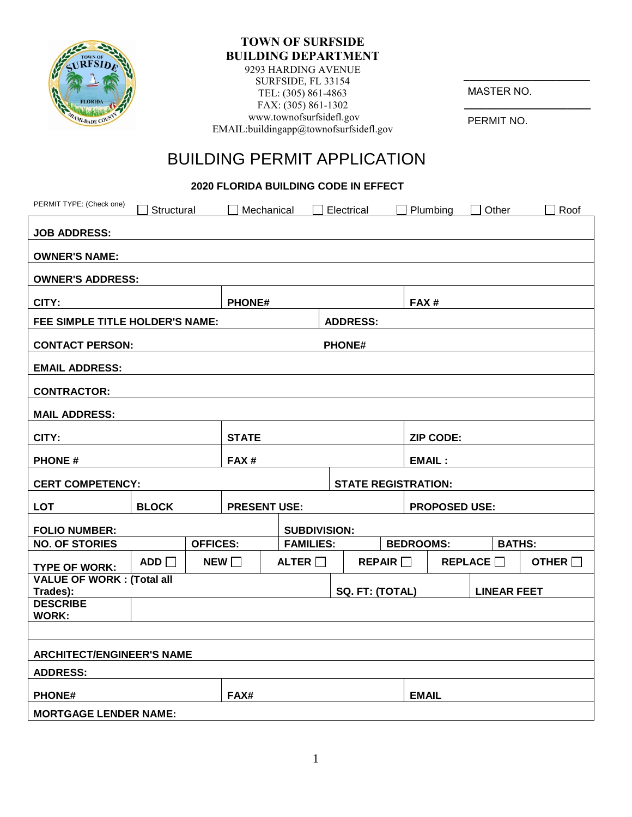

#### **TOWN OF SURFSIDE BUILDING DEPARTMENT**  9293 HARDING AVENUE

SURFSIDE, FL 33154 TEL: (305) 861-4863 FAX: (305) 861-1302 www.townofsurfsidefl.gov EMAIL:buildingapp@townofsurfsidefl.gov

MASTER NO.

**\_\_\_\_\_\_\_\_\_\_\_\_\_\_\_\_\_\_\_\_\_\_**

**\_\_\_\_\_\_\_\_\_\_\_\_\_\_\_\_\_\_\_\_\_\_**

PERMIT NO.

# BUILDING PERMIT APPLICATION

**2020 FLORIDA BUILDING CODE IN EFFECT** 

| PERMIT TYPE: (Check one)                                         | Structural                                                  |  | Mechanical                              |              |                    | Electrical   |                  |                  | Plumbing | Other          |               | Roof |  |
|------------------------------------------------------------------|-------------------------------------------------------------|--|-----------------------------------------|--------------|--------------------|--------------|------------------|------------------|----------|----------------|---------------|------|--|
| <b>JOB ADDRESS:</b>                                              |                                                             |  |                                         |              |                    |              |                  |                  |          |                |               |      |  |
| <b>OWNER'S NAME:</b>                                             |                                                             |  |                                         |              |                    |              |                  |                  |          |                |               |      |  |
| <b>OWNER'S ADDRESS:</b>                                          |                                                             |  |                                         |              |                    |              |                  |                  |          |                |               |      |  |
| CITY:                                                            |                                                             |  | <b>PHONE#</b>                           |              |                    |              | FAX#             |                  |          |                |               |      |  |
| FEE SIMPLE TITLE HOLDER'S NAME:                                  | <b>ADDRESS:</b>                                             |  |                                         |              |                    |              |                  |                  |          |                |               |      |  |
| <b>CONTACT PERSON:</b>                                           |                                                             |  | <b>PHONE#</b>                           |              |                    |              |                  |                  |          |                |               |      |  |
| <b>EMAIL ADDRESS:</b>                                            |                                                             |  |                                         |              |                    |              |                  |                  |          |                |               |      |  |
| <b>CONTRACTOR:</b>                                               |                                                             |  |                                         |              |                    |              |                  |                  |          |                |               |      |  |
| <b>MAIL ADDRESS:</b>                                             |                                                             |  |                                         |              |                    |              |                  |                  |          |                |               |      |  |
| CITY:                                                            |                                                             |  | <b>STATE</b>                            |              |                    |              | <b>ZIP CODE:</b> |                  |          |                |               |      |  |
| <b>PHONE#</b>                                                    |                                                             |  | FAX#                                    |              |                    |              | <b>EMAIL:</b>    |                  |          |                |               |      |  |
| <b>STATE REGISTRATION:</b><br><b>CERT COMPETENCY:</b>            |                                                             |  |                                         |              |                    |              |                  |                  |          |                |               |      |  |
| <b>LOT</b>                                                       |                                                             |  |                                         |              |                    |              |                  |                  |          |                |               |      |  |
|                                                                  | <b>BLOCK</b><br><b>PRESENT USE:</b><br><b>PROPOSED USE:</b> |  |                                         |              |                    |              |                  |                  |          |                |               |      |  |
| <b>FOLIO NUMBER:</b><br><b>NO. OF STORIES</b><br><b>OFFICES:</b> |                                                             |  | <b>SUBDIVISION:</b><br><b>FAMILIES:</b> |              |                    |              |                  | <b>BEDROOMS:</b> |          |                | <b>BATHS:</b> |      |  |
|                                                                  | ADD                                                         |  | NEW                                     | ALTER $\Box$ |                    |              | REPAIR           | REPLACE $\Box$   |          | OTHER <b>D</b> |               |      |  |
| <b>TYPE OF WORK:</b><br><b>VALUE OF WORK: (Total all</b>         |                                                             |  |                                         |              |                    |              |                  |                  |          |                |               |      |  |
| Trades):                                                         | SQ. FT: (TOTAL)                                             |  |                                         |              | <b>LINEAR FEET</b> |              |                  |                  |          |                |               |      |  |
| <b>DESCRIBE</b><br><b>WORK:</b>                                  |                                                             |  |                                         |              |                    |              |                  |                  |          |                |               |      |  |
|                                                                  |                                                             |  |                                         |              |                    |              |                  |                  |          |                |               |      |  |
|                                                                  |                                                             |  |                                         |              |                    |              |                  |                  |          |                |               |      |  |
| <b>ARCHITECT/ENGINEER'S NAME</b>                                 |                                                             |  |                                         |              |                    |              |                  |                  |          |                |               |      |  |
| <b>ADDRESS:</b>                                                  |                                                             |  |                                         |              |                    |              |                  |                  |          |                |               |      |  |
| <b>PHONE#</b>                                                    |                                                             |  | FAX#                                    |              |                    | <b>EMAIL</b> |                  |                  |          |                |               |      |  |
| <b>MORTGAGE LENDER NAME:</b>                                     |                                                             |  |                                         |              |                    |              |                  |                  |          |                |               |      |  |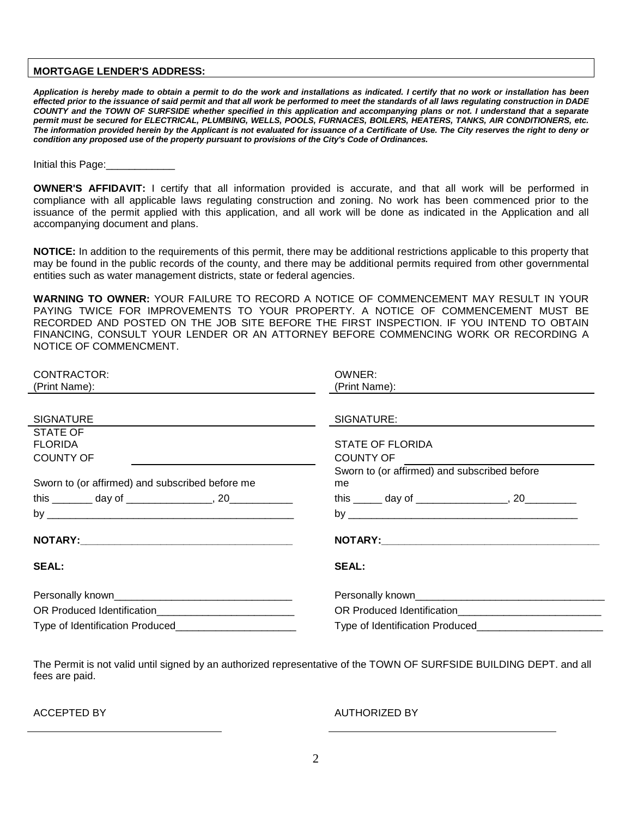#### **MORTGAGE LENDER'S ADDRESS:**

*Application is hereby made to obtain a permit to do the work and installations as indicated. I certify that no work or installation has been effected prior to the issuance of said permit and that all work be performed to meet the standards of all laws regulating construction in DADE COUNTY and the TOWN OF SURFSIDE whether specified in this application and accompanying plans or not. I understand that a separate permit must be secured for ELECTRICAL, PLUMBING, WELLS, POOLS, FURNACES, BOILERS, HEATERS, TANKS, AIR CONDITIONERS, etc. The information provided herein by the Applicant is not evaluated for issuance of a Certificate of Use. The City reserves the right to deny or condition any proposed use of the property pursuant to provisions of the City's Code of Ordinances.* 

Initial this Page:

**OWNER'S AFFIDAVIT:** I certify that all information provided is accurate, and that all work will be performed in compliance with all applicable laws regulating construction and zoning. No work has been commenced prior to the issuance of the permit applied with this application, and all work will be done as indicated in the Application and all accompanying document and plans.

**NOTICE:** In addition to the requirements of this permit, there may be additional restrictions applicable to this property that may be found in the public records of the county, and there may be additional permits required from other governmental entities such as water management districts, state or federal agencies.

**WARNING TO OWNER:** YOUR FAILURE TO RECORD A NOTICE OF COMMENCEMENT MAY RESULT IN YOUR PAYING TWICE FOR IMPROVEMENTS TO YOUR PROPERTY. A NOTICE OF COMMENCEMENT MUST BE RECORDED AND POSTED ON THE JOB SITE BEFORE THE FIRST INSPECTION. IF YOU INTEND TO OBTAIN FINANCING, CONSULT YOUR LENDER OR AN ATTORNEY BEFORE COMMENCING WORK OR RECORDING A NOTICE OF COMMENCMENT.

| CONTRACTOR:                                     | OWNER:                                         |  |  |  |  |  |  |  |
|-------------------------------------------------|------------------------------------------------|--|--|--|--|--|--|--|
| (Print Name):                                   | (Print Name):                                  |  |  |  |  |  |  |  |
|                                                 |                                                |  |  |  |  |  |  |  |
| <b>SIGNATURE</b>                                | SIGNATURE:                                     |  |  |  |  |  |  |  |
| STATE OF                                        |                                                |  |  |  |  |  |  |  |
| <b>FLORIDA</b>                                  | <b>STATE OF FLORIDA</b>                        |  |  |  |  |  |  |  |
| <b>COUNTY OF</b>                                | COUNTY OF THE STATE OF THE STATE OF            |  |  |  |  |  |  |  |
|                                                 | Sworn to (or affirmed) and subscribed before   |  |  |  |  |  |  |  |
| Sworn to (or affirmed) and subscribed before me | me                                             |  |  |  |  |  |  |  |
|                                                 |                                                |  |  |  |  |  |  |  |
|                                                 |                                                |  |  |  |  |  |  |  |
|                                                 |                                                |  |  |  |  |  |  |  |
| <b>SEAL:</b>                                    | <b>SEAL:</b>                                   |  |  |  |  |  |  |  |
|                                                 |                                                |  |  |  |  |  |  |  |
|                                                 |                                                |  |  |  |  |  |  |  |
|                                                 | Type of Identification Produced_______________ |  |  |  |  |  |  |  |

The Permit is not valid until signed by an authorized representative of the TOWN OF SURFSIDE BUILDING DEPT. and all fees are paid.

#### ACCEPTED BY AUTHORIZED BY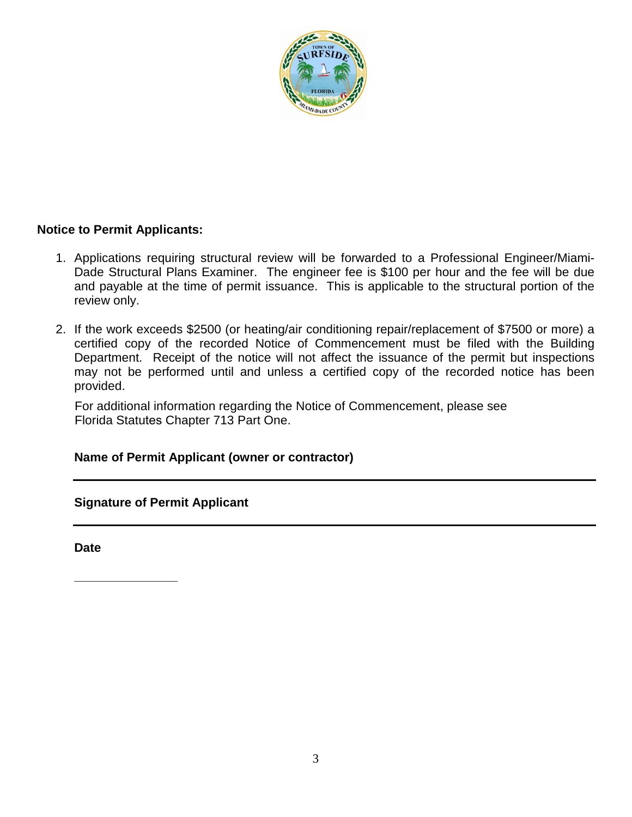

### **Notice to Permit Applicants:**

- 1. Applications requiring structural review will be forwarded to a Professional Engineer/Miami-Dade Structural Plans Examiner. The engineer fee is \$100 per hour and the fee will be due and payable at the time of permit issuance. This is applicable to the structural portion of the review only.
- 2. If the work exceeds \$2500 (or heating/air conditioning repair/replacement of \$7500 or more) a certified copy of the recorded Notice of Commencement must be filed with the Building Department. Receipt of the notice will not affect the issuance of the permit but inspections may not be performed until and unless a certified copy of the recorded notice has been provided.

For additional information regarding the Notice of Commencement, please see Florida Statutes Chapter 713 Part One.

#### **Name of Permit Applicant (owner or contractor)**

**Signature of Permit Applicant**

**Date**

**\_\_\_\_\_\_\_\_\_\_\_\_\_\_\_**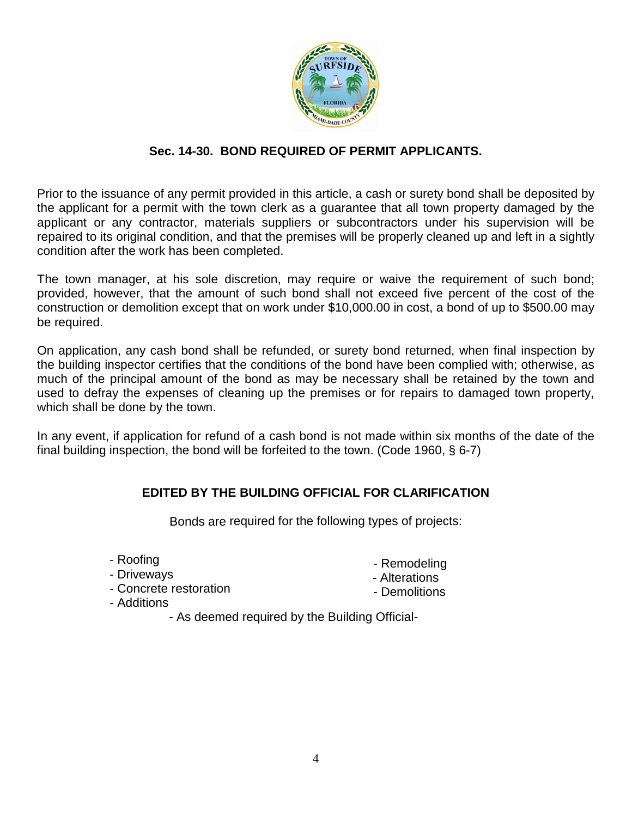

### **Sec. 14-30. BOND REQUIRED OF PERMIT APPLICANTS.**

Prior to the issuance of any permit provided in this article, a cash or surety bond shall be deposited by the applicant for a permit with the town clerk as a guarantee that all town property damaged by the applicant or any contractor, materials suppliers or subcontractors under his supervision will be repaired to its original condition, and that the premises will be properly cleaned up and left in a sightly condition after the work has been completed.

The town manager, at his sole discretion, may require or waive the requirement of such bond; provided, however, that the amount of such bond shall not exceed five percent of the cost of the construction or demolition except that on work under \$10,000.00 in cost, a bond of up to \$500.00 may be required.

On application, any cash bond shall be refunded, or surety bond returned, when final inspection by the building inspector certifies that the conditions of the bond have been complied with; otherwise, as much of the principal amount of the bond as may be necessary shall be retained by the town and used to defray the expenses of cleaning up the premises or for repairs to damaged town property, which shall be done by the town.

In any event, if application for refund of a cash bond is not made within six months of the date of the final building inspection, the bond will be forfeited to the town. (Code 1960, § 6-7)

# **EDITED BY THE BUILDING OFFICIAL FOR CLARIFICATION**

Bonds are required for the following types of projects:

- Roofing
- Driveways

- Concrete restoration

- Remodeling
- Alterations
- Demolitions
- Additions
	- As deemed required by the Building Official-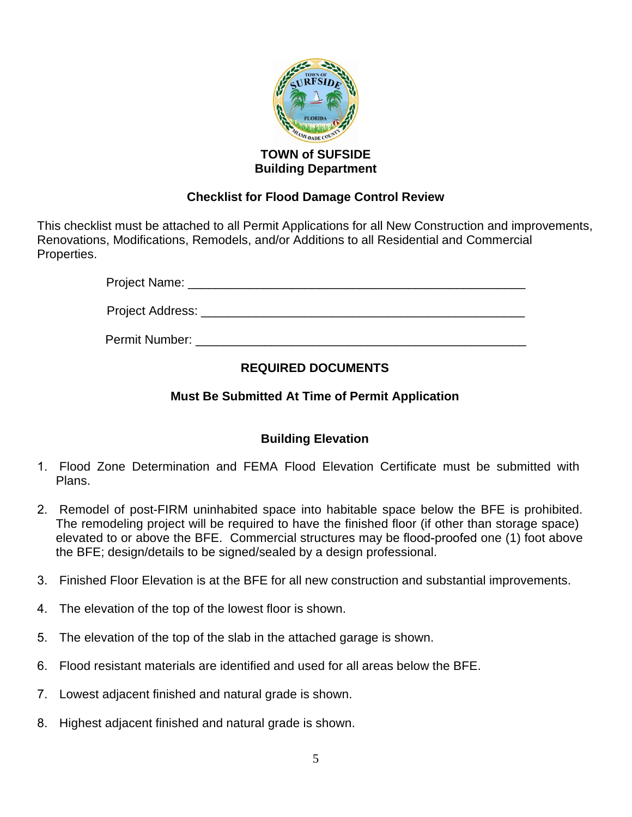

### **TOWN of SUFSIDE Building Department**

# **Checklist for Flood Damage Control Review**

This checklist must be attached to all Permit Applications for all New Construction and improvements, Renovations, Modifications, Remodels, and/or Additions to all Residential and Commercial Properties.

Project Name: \_\_\_\_\_\_\_\_\_\_\_\_\_\_\_\_\_\_\_\_\_\_\_\_\_\_\_\_\_\_\_\_\_\_\_\_\_\_\_\_\_\_\_\_\_\_\_\_\_

Project Address: \_\_\_\_\_\_\_\_\_\_\_\_\_\_\_\_\_\_\_\_\_\_\_\_\_\_\_\_\_\_\_\_\_\_\_\_\_\_\_\_\_\_\_\_\_\_\_

Permit Number: \_\_\_\_\_\_\_\_\_\_\_\_\_\_\_\_\_\_\_\_\_\_\_\_\_\_\_\_\_\_\_\_\_\_\_\_\_\_\_\_\_\_\_\_\_\_\_\_

# **REQUIRED DOCUMENTS**

# **Must Be Submitted At Time of Permit Application**

# **Building Elevation**

- 1. Flood Zone Determination and FEMA Flood Elevation Certificate must be submitted with Plans.
- 2. Remodel of post-FIRM uninhabited space into habitable space below the BFE is prohibited. The remodeling project will be required to have the finished floor (if other than storage space) elevated to or above the BFE. Commercial structures may be flood-proofed one (1) foot above the BFE; design/details to be signed/sealed by a design professional.
- 3. Finished Floor Elevation is at the BFE for all new construction and substantial improvements.
- 4. The elevation of the top of the lowest floor is shown.
- 5. The elevation of the top of the slab in the attached garage is shown.
- 6. Flood resistant materials are identified and used for all areas below the BFE.
- 7. Lowest adjacent finished and natural grade is shown.
- 8. Highest adjacent finished and natural grade is shown.